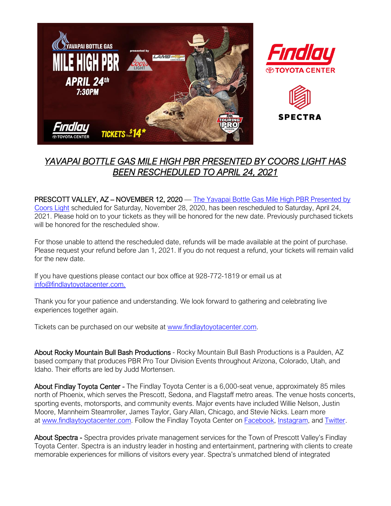

## *YAVAPAI BOTTLE GAS MILE HIGH PBR PRESENTED BY COORS LIGHT HAS BEEN RESCHEDULED TO APRIL 24, 2021*

PRESCOTT VALLEY, AZ – NOVEMBER 12, 2020 — The Yavapai Bottle Gas Mile High PBR Presented by [Coors Light](http://www.findlaytoyotacenter.com/events/yavapai-bottle-gas-mile-high-pbr-presented-by-coors-light) scheduled for Saturday, November 28, 2020, has been rescheduled to Saturday, April 24, 2021. Please hold on to your tickets as they will be honored for the new date. Previously purchased tickets will be honored for the rescheduled show

For those unable to attend the rescheduled date, refunds will be made available at the point of purchase. Please request your refund before Jan 1, 2021. If you do not request a refund, your tickets will remain valid for the new date.

If you have questions please contact our box office at 928-772-1819 or email us at [info@findlaytoyotacenter.com.](mailto:info@findlaytoyotacenter.com.)

Thank you for your patience and understanding. We look forward to gathering and celebrating live experiences together again.

Tickets can be purchased on our website at [www.findlaytoyotacenter.com.](http://www.findlaytoyotacenter.com/events/yavapai-bottle-gas-mile-high-pbr-presented-by-coors-light)

About Rocky Mountain Bull Bash Productions - Rocky Mountain Bull Bash Productions is a Paulden, AZ based company that produces PBR Pro Tour Division Events throughout Arizona, Colorado, Utah, and Idaho. Their efforts are led by Judd Mortensen.

About Findlay Toyota Center - The Findlay Toyota Center is a 6,000-seat venue, approximately 85 miles north of Phoenix, which serves the Prescott, Sedona, and Flagstaff metro areas. The venue hosts concerts, sporting events, motorsports, and community events. Major events have included Willie Nelson, Justin Moore, Mannheim Steamroller, James Taylor, Gary Allan, Chicago, and Stevie Nicks. Learn more at [www.findlaytoyotacenter.com.](http://www.findlaytoyotacenter.com/) Follow the Findlay Toyota Center on [Facebook,](https://www.facebook.com/FindlayToyotaCenter/) [Instagram,](https://www.instagram.com/findlaytoyotacenter/) and [Twitter.](https://twitter.com/FindlayCenter)

About Spectra - Spectra provides private management services for the Town of Prescott Valley's Findlay Toyota Center. Spectra is an industry leader in hosting and entertainment, partnering with clients to create memorable experiences for millions of visitors every year. Spectra's unmatched blend of integrated